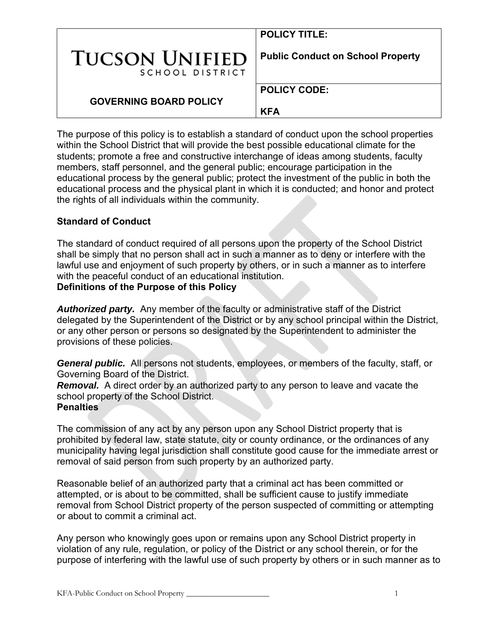|                                          | <b>POLICY TITLE:</b>                     |
|------------------------------------------|------------------------------------------|
| <b>TUCSON UNIFIED</b><br>SCHOOL DISTRICT | <b>Public Conduct on School Property</b> |
| <b>GOVERNING BOARD POLICY</b>            | <b>POLICY CODE:</b><br><b>KFA</b>        |

The purpose of this policy is to establish a standard of conduct upon the school properties within the School District that will provide the best possible educational climate for the students; promote a free and constructive interchange of ideas among students, faculty members, staff personnel, and the general public; encourage participation in the educational process by the general public; protect the investment of the public in both the educational process and the physical plant in which it is conducted; and honor and protect the rights of all individuals within the community.

#### **Standard of Conduct**

The standard of conduct required of all persons upon the property of the School District shall be simply that no person shall act in such a manner as to deny or interfere with the lawful use and enjoyment of such property by others, or in such a manner as to interfere with the peaceful conduct of an educational institution.

## **Definitions of the Purpose of this Policy**

*Authorized party.* Any member of the faculty or administrative staff of the District delegated by the Superintendent of the District or by any school principal within the District, or any other person or persons so designated by the Superintendent to administer the provisions of these policies.

*General public.* All persons not students, employees, or members of the faculty, staff, or Governing Board of the District.

*Removal.* A direct order by an authorized party to any person to leave and vacate the school property of the School District.

#### **Penalties**

The commission of any act by any person upon any School District property that is prohibited by federal law, state statute, city or county ordinance, or the ordinances of any municipality having legal jurisdiction shall constitute good cause for the immediate arrest or removal of said person from such property by an authorized party.

Reasonable belief of an authorized party that a criminal act has been committed or attempted, or is about to be committed, shall be sufficient cause to justify immediate removal from School District property of the person suspected of committing or attempting or about to commit a criminal act.

Any person who knowingly goes upon or remains upon any School District property in violation of any rule, regulation, or policy of the District or any school therein, or for the purpose of interfering with the lawful use of such property by others or in such manner as to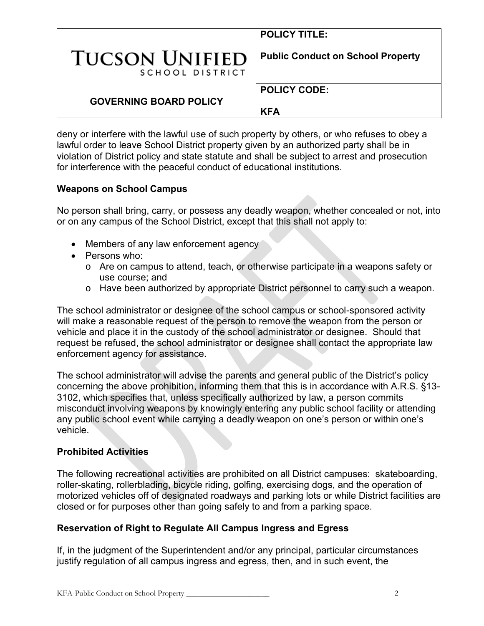|                                          | <b>POLICY TITLE:</b>                     |
|------------------------------------------|------------------------------------------|
| <b>TUCSON UNIFIED</b><br>SCHOOL DISTRICT | <b>Public Conduct on School Property</b> |
| <b>GOVERNING BOARD POLICY</b>            | <b>POLICY CODE:</b><br><b>KFA</b>        |

deny or interfere with the lawful use of such property by others, or who refuses to obey a lawful order to leave School District property given by an authorized party shall be in violation of District policy and state statute and shall be subject to arrest and prosecution for interference with the peaceful conduct of educational institutions.

#### **Weapons on School Campus**

No person shall bring, carry, or possess any deadly weapon, whether concealed or not, into or on any campus of the School District, except that this shall not apply to:

- Members of any law enforcement agency
- Persons who:
	- o Are on campus to attend, teach, or otherwise participate in a weapons safety or use course; and
	- o Have been authorized by appropriate District personnel to carry such a weapon.

The school administrator or designee of the school campus or school-sponsored activity will make a reasonable request of the person to remove the weapon from the person or vehicle and place it in the custody of the school administrator or designee. Should that request be refused, the school administrator or designee shall contact the appropriate law enforcement agency for assistance.

The school administrator will advise the parents and general public of the District's policy concerning the above prohibition, informing them that this is in accordance with A.R.S. §13- 3102, which specifies that, unless specifically authorized by law, a person commits misconduct involving weapons by knowingly entering any public school facility or attending any public school event while carrying a deadly weapon on one's person or within one's vehicle.

#### **Prohibited Activities**

The following recreational activities are prohibited on all District campuses: skateboarding, roller-skating, rollerblading, bicycle riding, golfing, exercising dogs, and the operation of motorized vehicles off of designated roadways and parking lots or while District facilities are closed or for purposes other than going safely to and from a parking space.

#### **Reservation of Right to Regulate All Campus Ingress and Egress**

If, in the judgment of the Superintendent and/or any principal, particular circumstances justify regulation of all campus ingress and egress, then, and in such event, the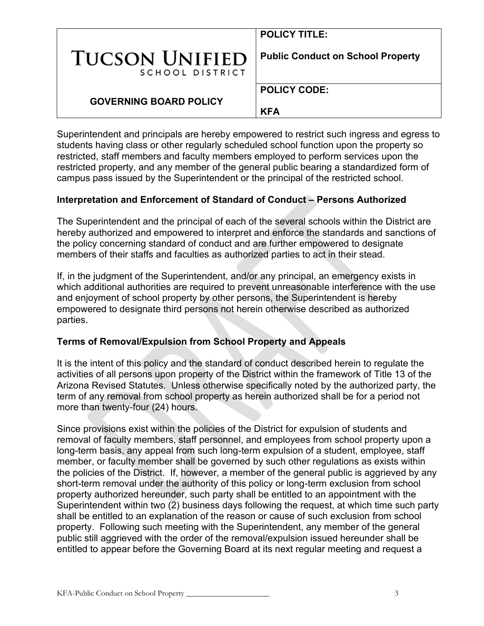|                                          | <b>POLICY TITLE:</b>                     |
|------------------------------------------|------------------------------------------|
| <b>TUCSON UNIFIED</b><br>SCHOOL DISTRICT | <b>Public Conduct on School Property</b> |
| <b>GOVERNING BOARD POLICY</b>            | <b>POLICY CODE:</b><br><b>KFA</b>        |

Superintendent and principals are hereby empowered to restrict such ingress and egress to students having class or other regularly scheduled school function upon the property so restricted, staff members and faculty members employed to perform services upon the restricted property, and any member of the general public bearing a standardized form of campus pass issued by the Superintendent or the principal of the restricted school.

#### **Interpretation and Enforcement of Standard of Conduct – Persons Authorized**

The Superintendent and the principal of each of the several schools within the District are hereby authorized and empowered to interpret and enforce the standards and sanctions of the policy concerning standard of conduct and are further empowered to designate members of their staffs and faculties as authorized parties to act in their stead.

If, in the judgment of the Superintendent, and/or any principal, an emergency exists in which additional authorities are required to prevent unreasonable interference with the use and enjoyment of school property by other persons, the Superintendent is hereby empowered to designate third persons not herein otherwise described as authorized parties.

#### **Terms of Removal/Expulsion from School Property and Appeals**

It is the intent of this policy and the standard of conduct described herein to regulate the activities of all persons upon property of the District within the framework of Title 13 of the Arizona Revised Statutes. Unless otherwise specifically noted by the authorized party, the term of any removal from school property as herein authorized shall be for a period not more than twenty-four (24) hours.

Since provisions exist within the policies of the District for expulsion of students and removal of faculty members, staff personnel, and employees from school property upon a long-term basis, any appeal from such long-term expulsion of a student, employee, staff member, or faculty member shall be governed by such other regulations as exists within the policies of the District. If, however, a member of the general public is aggrieved by any short-term removal under the authority of this policy or long-term exclusion from school property authorized hereunder, such party shall be entitled to an appointment with the Superintendent within two  $\overline{2}$ ) business days following the request, at which time such party shall be entitled to an explanation of the reason or cause of such exclusion from school property. Following such meeting with the Superintendent, any member of the general public still aggrieved with the order of the removal/expulsion issued hereunder shall be entitled to appear before the Governing Board at its next regular meeting and request a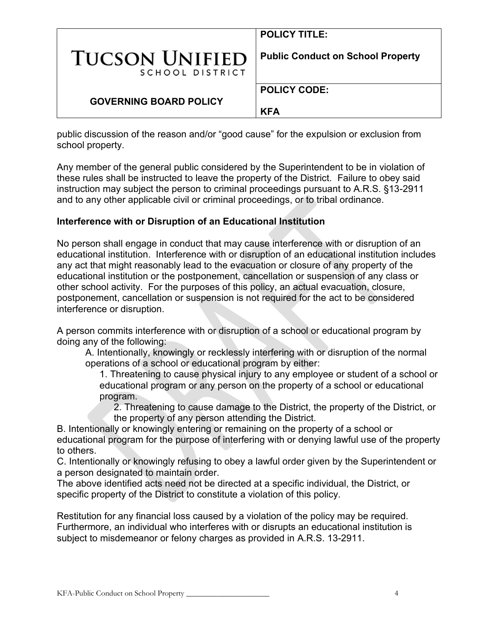|                                          | <b>POLICY TITLE:</b>                     |
|------------------------------------------|------------------------------------------|
| <b>TUCSON UNIFIED</b><br>SCHOOL DISTRICT | <b>Public Conduct on School Property</b> |
| <b>GOVERNING BOARD POLICY</b>            | <b>POLICY CODE:</b><br><b>KFA</b>        |

public discussion of the reason and/or "good cause" for the expulsion or exclusion from school property.

Any member of the general public considered by the Superintendent to be in violation of these rules shall be instructed to leave the property of the District. Failure to obey said instruction may subject the person to criminal proceedings pursuant to A.R.S. §13-2911 and to any other applicable civil or criminal proceedings, or to tribal ordinance.

#### **Interference with or Disruption of an Educational Institution**

No person shall engage in conduct that may cause interference with or disruption of an educational institution. Interference with or disruption of an educational institution includes any act that might reasonably lead to the evacuation or closure of any property of the educational institution or the postponement, cancellation or suspension of any class or other school activity. For the purposes of this policy, an actual evacuation, closure, postponement, cancellation or suspension is not required for the act to be considered interference or disruption.

A person commits interference with or disruption of a school or educational program by doing any of the following:

A. Intentionally, knowingly or recklessly interfering with or disruption of the normal operations of a school or educational program by either:

1. Threatening to cause physical injury to any employee or student of a school or educational program or any person on the property of a school or educational program.

2. Threatening to cause damage to the District, the property of the District, or the property of any person attending the District.

B. Intentionally or knowingly entering or remaining on the property of a school or educational program for the purpose of interfering with or denying lawful use of the property to others.

C. Intentionally or knowingly refusing to obey a lawful order given by the Superintendent or a person designated to maintain order.

The above identified acts need not be directed at a specific individual, the District, or specific property of the District to constitute a violation of this policy.

Restitution for any financial loss caused by a violation of the policy may be required. Furthermore, an individual who interferes with or disrupts an educational institution is subject to misdemeanor or felony charges as provided in A.R.S. 13-2911.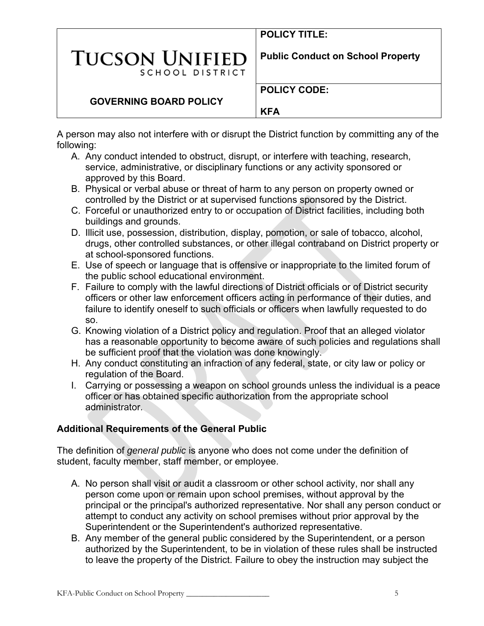**POLICY TITLE:** 

**POLICY CODE:** 

# **TUCSON UNIFIEI** SCHOOL DISTRICT

**Public Conduct on School Property**

## **GOVERNING BOARD POLICY**

**KFA**

A person may also not interfere with or disrupt the District function by committing any of the following:

- A. Any conduct intended to obstruct, disrupt, or interfere with teaching, research, service, administrative, or disciplinary functions or any activity sponsored or approved by this Board.
- B. Physical or verbal abuse or threat of harm to any person on property owned or controlled by the District or at supervised functions sponsored by the District.
- C. Forceful or unauthorized entry to or occupation of District facilities, including both buildings and grounds.
- D. Illicit use, possession, distribution, display, pomotion, or sale of tobacco, alcohol, drugs, other controlled substances, or other illegal contraband on District property or at school-sponsored functions.
- E. Use of speech or language that is offensive or inappropriate to the limited forum of the public school educational environment.
- F. Failure to comply with the lawful directions of District officials or of District security officers or other law enforcement officers acting in performance of their duties, and failure to identify oneself to such officials or officers when lawfully requested to do so.
- G. Knowing violation of a District policy and regulation. Proof that an alleged violator has a reasonable opportunity to become aware of such policies and regulations shall be sufficient proof that the violation was done knowingly.
- H. Any conduct constituting an infraction of any federal, state, or city law or policy or regulation of the Board.
- I. Carrying or possessing a weapon on school grounds unless the individual is a peace officer or has obtained specific authorization from the appropriate school administrator.

## **Additional Requirements of the General Public**

The definition of *general public* is anyone who does not come under the definition of student, faculty member, staff member, or employee.

- A. No person shall visit or audit a classroom or other school activity, nor shall any person come upon or remain upon school premises, without approval by the principal or the principal's authorized representative. Nor shall any person conduct or attempt to conduct any activity on school premises without prior approval by the Superintendent or the Superintendent's authorized representative.
- B. Any member of the general public considered by the Superintendent, or a person authorized by the Superintendent, to be in violation of these rules shall be instructed to leave the property of the District. Failure to obey the instruction may subject the